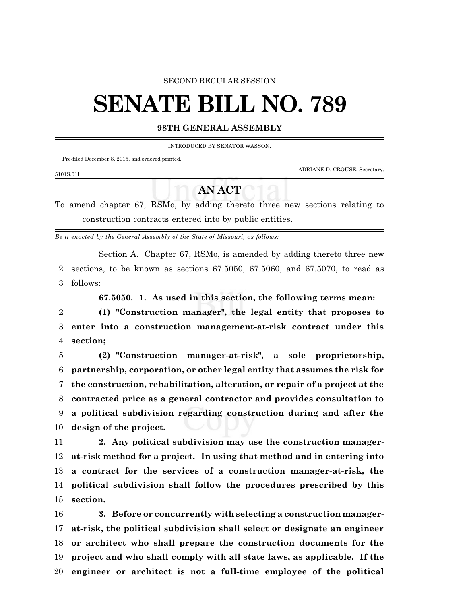### SECOND REGULAR SESSION

# **SENATE BILL NO. 789**

## **98TH GENERAL ASSEMBLY**

INTRODUCED BY SENATOR WASSON.

Pre-filed December 8, 2015, and ordered printed.

ADRIANE D. CROUSE, Secretary.

#### 5101S.01I

## **AN ACT**

To amend chapter 67, RSMo, by adding thereto three new sections relating to construction contracts entered into by public entities.

*Be it enacted by the General Assembly of the State of Missouri, as follows:*

Section A. Chapter 67, RSMo, is amended by adding thereto three new sections, to be known as sections 67.5050, 67.5060, and 67.5070, to read as follows:

**67.5050. 1. As used in this section, the following terms mean:**

 **(1) "Construction manager", the legal entity that proposes to enter into a construction management-at-risk contract under this section;**

 **(2) "Construction manager-at-risk", a sole proprietorship, partnership, corporation, or other legal entity that assumes the risk for the construction, rehabilitation, alteration, or repair of a project at the contracted price as a general contractor and provides consultation to a political subdivision regarding construction during and after the design of the project.**

 **2. Any political subdivision may use the construction manager- at-risk method for a project. In using that method and in entering into a contract for the services of a construction manager-at-risk, the political subdivision shall follow the procedures prescribed by this section.**

 **3. Before or concurrently with selecting a construction manager- at-risk, the political subdivision shall select or designate an engineer or architect who shall prepare the construction documents for the project and who shall comply with all state laws, as applicable. If the engineer or architect is not a full-time employee of the political**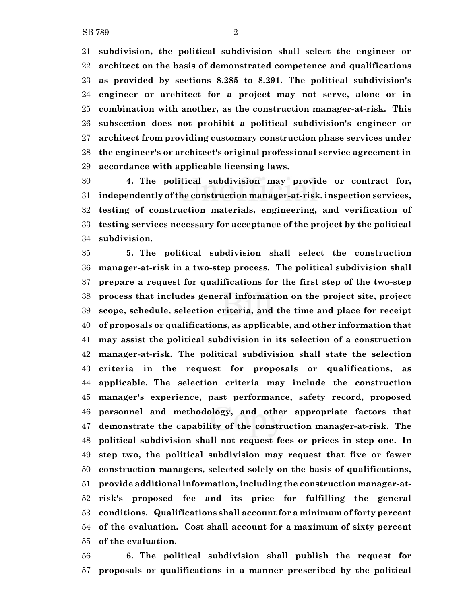**subdivision, the political subdivision shall select the engineer or architect on the basis of demonstrated competence and qualifications as provided by sections 8.285 to 8.291. The political subdivision's engineer or architect for a project may not serve, alone or in combination with another, as the construction manager-at-risk. This subsection does not prohibit a political subdivision's engineer or architect from providing customary construction phase services under the engineer's or architect's original professional service agreement in accordance with applicable licensing laws.**

 **4. The political subdivision may provide or contract for, independently of the construction manager-at-risk, inspection services, testing of construction materials, engineering, and verification of testing services necessary for acceptance of the project by the political subdivision.**

 **5. The political subdivision shall select the construction manager-at-risk in a two-step process. The political subdivision shall prepare a request for qualifications for the first step of the two-step process that includes general information on the project site, project scope, schedule, selection criteria, and the time and place for receipt of proposals or qualifications, as applicable, and other information that may assist the political subdivision in its selection of a construction manager-at-risk. The political subdivision shall state the selection criteria in the request for proposals or qualifications, as applicable. The selection criteria may include the construction manager's experience, past performance, safety record, proposed personnel and methodology, and other appropriate factors that demonstrate the capability of the construction manager-at-risk. The political subdivision shall not request fees or prices in step one. In step two, the political subdivision may request that five or fewer construction managers, selected solely on the basis of qualifications, provide additional information, including the construction manager-at- risk's proposed fee and its price for fulfilling the general conditions. Qualifications shall account for a minimum of forty percent of the evaluation. Cost shall account for a maximum of sixty percent of the evaluation.**

 **6. The political subdivision shall publish the request for proposals or qualifications in a manner prescribed by the political**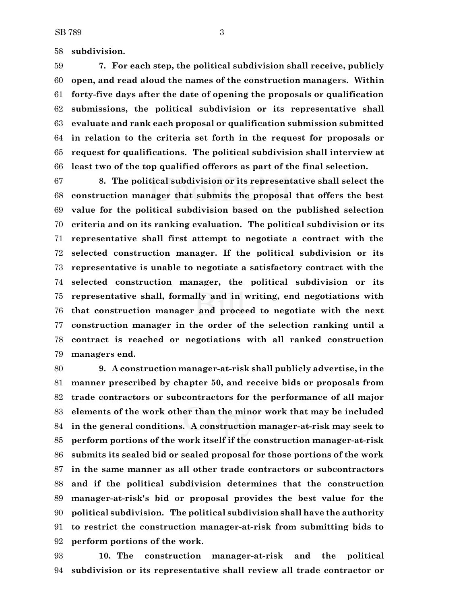**subdivision.**

 **7. For each step, the political subdivision shall receive, publicly open, and read aloud the names of the construction managers. Within forty-five days after the date of opening the proposals or qualification submissions, the political subdivision or its representative shall evaluate and rank each proposal or qualification submission submitted in relation to the criteria set forth in the request for proposals or request for qualifications. The political subdivision shall interview at least two of the top qualified offerors as part of the final selection.**

 **8. The political subdivision or its representative shall select the construction manager that submits the proposal that offers the best value for the political subdivision based on the published selection criteria and on its ranking evaluation. The political subdivision or its representative shall first attempt to negotiate a contract with the selected construction manager. If the political subdivision or its representative is unable to negotiate a satisfactory contract with the selected construction manager, the political subdivision or its representative shall, formally and in writing, end negotiations with that construction manager and proceed to negotiate with the next construction manager in the order of the selection ranking until a contract is reached or negotiations with all ranked construction managers end.**

 **9. A construction manager-at-risk shall publicly advertise, in the manner prescribed by chapter 50, and receive bids or proposals from trade contractors or subcontractors for the performance of all major elements of the work other than the minor work that may be included in the general conditions. A construction manager-at-risk may seek to perform portions of the work itself if the construction manager-at-risk submits its sealed bid or sealed proposal for those portions of the work in the same manner as all other trade contractors or subcontractors and if the political subdivision determines that the construction manager-at-risk's bid or proposal provides the best value for the political subdivision. The political subdivision shall have the authority to restrict the construction manager-at-risk from submitting bids to perform portions of the work.**

 **10. The construction manager-at-risk and the political subdivision or its representative shall review all trade contractor or**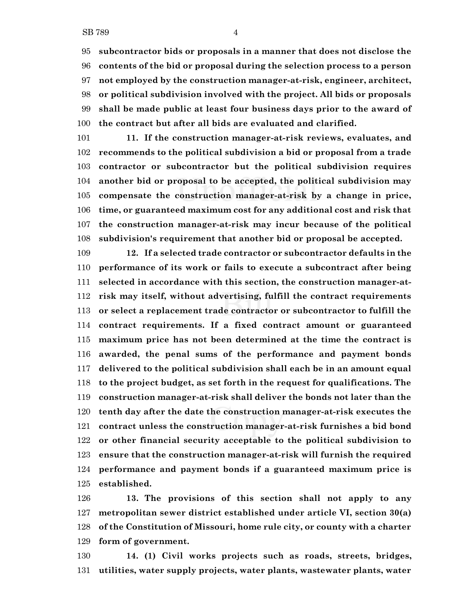**subcontractor bids or proposals in a manner that does not disclose the contents of the bid or proposal during the selection process to a person not employed by the construction manager-at-risk, engineer, architect, or political subdivision involved with the project. All bids or proposals shall be made public at least four business days prior to the award of the contract but after all bids are evaluated and clarified.**

 **11. If the construction manager-at-risk reviews, evaluates, and recommends to the political subdivision a bid or proposal from a trade contractor or subcontractor but the political subdivision requires another bid or proposal to be accepted, the political subdivision may compensate the construction manager-at-risk by a change in price, time, or guaranteed maximum cost for any additional cost and risk that the construction manager-at-risk may incur because of the political subdivision's requirement that another bid or proposal be accepted.**

 **12. If a selected trade contractor or subcontractor defaults in the performance of its work or fails to execute a subcontract after being selected in accordance with this section, the construction manager-at- risk may itself, without advertising, fulfill the contract requirements or select a replacement trade contractor or subcontractor to fulfill the contract requirements. If a fixed contract amount or guaranteed maximum price has not been determined at the time the contract is awarded, the penal sums of the performance and payment bonds delivered to the political subdivision shall each be in an amount equal to the project budget, as set forth in the request for qualifications. The construction manager-at-risk shall deliver the bonds not later than the tenth day after the date the construction manager-at-risk executes the contract unless the construction manager-at-risk furnishes a bid bond or other financial security acceptable to the political subdivision to ensure that the construction manager-at-risk will furnish the required performance and payment bonds if a guaranteed maximum price is established.**

 **13. The provisions of this section shall not apply to any metropolitan sewer district established under article VI, section 30(a) of the Constitution of Missouri, home rule city, or county with a charter form of government.**

 **14. (1) Civil works projects such as roads, streets, bridges, utilities, water supply projects, water plants, wastewater plants, water**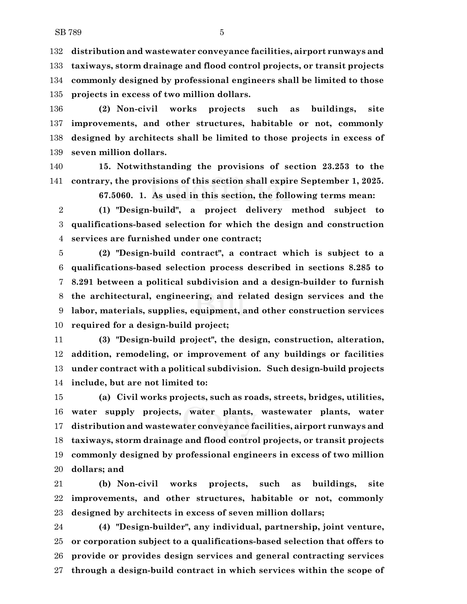**distribution and wastewater conveyance facilities, airport runways and taxiways, storm drainage and flood control projects, or transit projects commonly designed by professional engineers shall be limited to those projects in excess of two million dollars.**

 **(2) Non-civil works projects such as buildings, site improvements, and other structures, habitable or not, commonly designed by architects shall be limited to those projects in excess of seven million dollars.**

 **15. Notwithstanding the provisions of section 23.253 to the contrary, the provisions of this section shall expire September 1, 2025.**

**67.5060. 1. As used in this section, the following terms mean:**

 **(1) "Design-build", a project delivery method subject to qualifications-based selection for which the design and construction services are furnished under one contract;**

 **(2) "Design-build contract", a contract which is subject to a qualifications-based selection process described in sections 8.285 to 8.291 between a political subdivision and a design-builder to furnish the architectural, engineering, and related design services and the labor, materials, supplies, equipment, and other construction services required for a design-build project;**

 **(3) "Design-build project", the design, construction, alteration, addition, remodeling, or improvement of any buildings or facilities under contract with a political subdivision. Such design-build projects include, but are not limited to:**

 **(a) Civil works projects, such as roads, streets, bridges, utilities, water supply projects, water plants, wastewater plants, water distribution and wastewater conveyance facilities, airport runways and taxiways, storm drainage and flood control projects, or transit projects commonly designed by professional engineers in excess of two million dollars; and**

 **(b) Non-civil works projects, such as buildings, site improvements, and other structures, habitable or not, commonly designed by architects in excess of seven million dollars;**

 **(4) "Design-builder", any individual, partnership, joint venture, or corporation subject to a qualifications-based selection that offers to provide or provides design services and general contracting services through a design-build contract in which services within the scope of**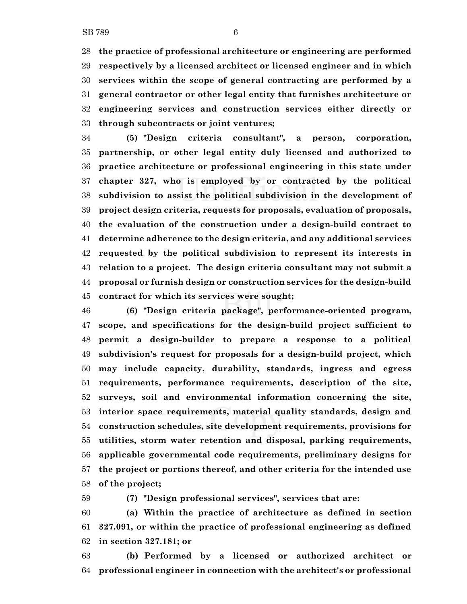**the practice of professional architecture or engineering are performed respectively by a licensed architect or licensed engineer and in which services within the scope of general contracting are performed by a general contractor or other legal entity that furnishes architecture or engineering services and construction services either directly or through subcontracts or joint ventures;**

 **(5) "Design criteria consultant", a person, corporation, partnership, or other legal entity duly licensed and authorized to practice architecture or professional engineering in this state under chapter 327, who is employed by or contracted by the political subdivision to assist the political subdivision in the development of project design criteria, requests for proposals, evaluation of proposals, the evaluation of the construction under a design-build contract to determine adherence to the design criteria, and any additional services requested by the political subdivision to represent its interests in relation to a project. The design criteria consultant may not submit a proposal or furnish design or construction services for the design-build contract for which its services were sought;**

 **(6) "Design criteria package", performance-oriented program, scope, and specifications for the design-build project sufficient to permit a design-builder to prepare a response to a political subdivision's request for proposals for a design-build project, which may include capacity, durability, standards, ingress and egress requirements, performance requirements, description of the site, surveys, soil and environmental information concerning the site, interior space requirements, material quality standards, design and construction schedules, site development requirements, provisions for utilities, storm water retention and disposal, parking requirements, applicable governmental code requirements, preliminary designs for the project or portions thereof, and other criteria for the intended use of the project;**

**(7) "Design professional services", services that are:**

 **(a) Within the practice of architecture as defined in section 327.091, or within the practice of professional engineering as defined in section 327.181; or**

 **(b) Performed by a licensed or authorized architect or professional engineer in connection with the architect's or professional**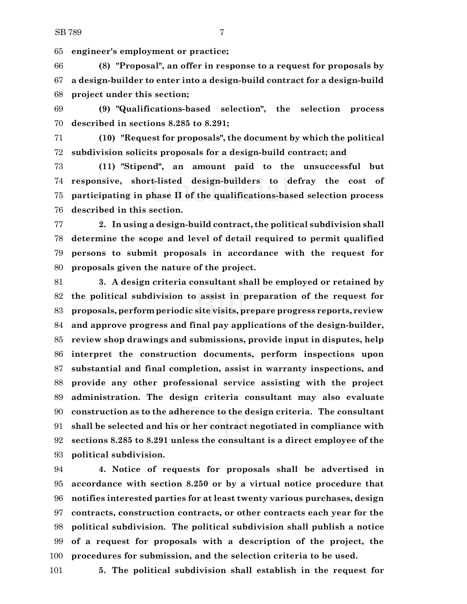**engineer's employment or practice;**

 **(8) "Proposal", an offer in response to a request for proposals by a design-builder to enter into a design-build contract for a design-build project under this section;**

 **(9) "Qualifications-based selection", the selection process described in sections 8.285 to 8.291;**

 **(10) "Request for proposals", the document by which the political subdivision solicits proposals for a design-build contract; and**

 **(11) "Stipend", an amount paid to the unsuccessful but responsive, short-listed design-builders to defray the cost of participating in phase II of the qualifications-based selection process described in this section.**

 **2. In using a design-build contract, the political subdivision shall determine the scope and level of detail required to permit qualified persons to submit proposals in accordance with the request for proposals given the nature of the project.**

 **3. A design criteria consultant shall be employed or retained by the political subdivision to assist in preparation of the request for proposals, perform periodic site visits, prepare progress reports, review and approve progress and final pay applications of the design-builder, review shop drawings and submissions, provide input in disputes, help interpret the construction documents, perform inspections upon substantial and final completion, assist in warranty inspections, and provide any other professional service assisting with the project administration. The design criteria consultant may also evaluate construction as to the adherence to the design criteria. The consultant shall be selected and his or her contract negotiated in compliance with sections 8.285 to 8.291 unless the consultant is a direct employee of the political subdivision.**

 **4. Notice of requests for proposals shall be advertised in accordance with section 8.250 or by a virtual notice procedure that notifies interested parties for at least twenty various purchases, design contracts, construction contracts, or other contracts each year for the political subdivision. The political subdivision shall publish a notice of a request for proposals with a description of the project, the procedures for submission, and the selection criteria to be used.**

**5. The political subdivision shall establish in the request for**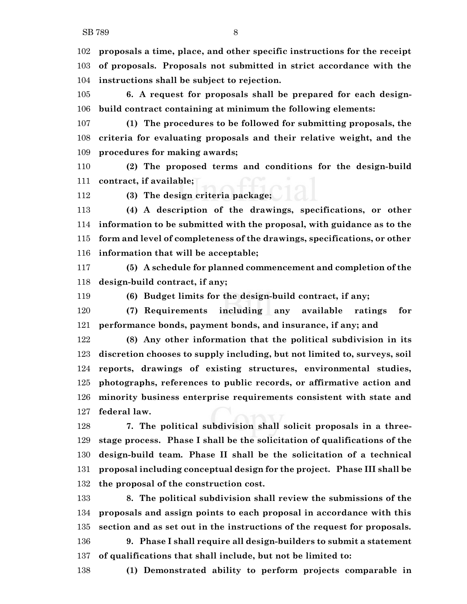**proposals a time, place, and other specific instructions for the receipt of proposals. Proposals not submitted in strict accordance with the instructions shall be subject to rejection.**

 **6. A request for proposals shall be prepared for each design-build contract containing at minimum the following elements:**

 **(1) The procedures to be followed for submitting proposals, the criteria for evaluating proposals and their relative weight, and the procedures for making awards;**

 **(2) The proposed terms and conditions for the design-build contract, if available;**

**(3) The design criteria package;**

 **(4) A description of the drawings, specifications, or other information to be submitted with the proposal, with guidance as to the form and level of completeness of the drawings, specifications, or other information that will be acceptable;**

 **(5) A schedule for planned commencement and completion of the design-build contract, if any;**

**(6) Budget limits for the design-build contract, if any;**

 **(7) Requirements including any available ratings for performance bonds, payment bonds, and insurance, if any; and**

 **(8) Any other information that the political subdivision in its discretion chooses to supply including, but not limited to, surveys, soil reports, drawings of existing structures, environmental studies, photographs, references to public records, or affirmative action and minority business enterprise requirements consistent with state and federal law.**

 **7. The political subdivision shall solicit proposals in a three- stage process. Phase I shall be the solicitation of qualifications of the design-build team. Phase II shall be the solicitation of a technical proposal including conceptual design for the project. Phase III shall be the proposal of the construction cost.**

 **8. The political subdivision shall review the submissions of the proposals and assign points to each proposal in accordance with this section and as set out in the instructions of the request for proposals. 9. Phase I shall require all design-builders to submit a statement of qualifications that shall include, but not be limited to:**

**(1) Demonstrated ability to perform projects comparable in**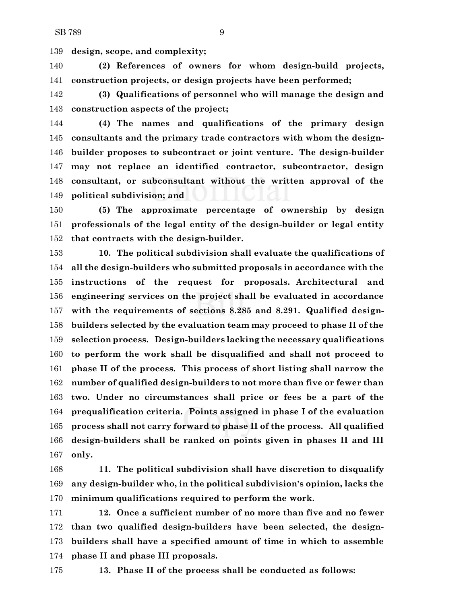**design, scope, and complexity;**

 **(2) References of owners for whom design-build projects, construction projects, or design projects have been performed;**

 **(3) Qualifications of personnel who will manage the design and construction aspects of the project;**

 **(4) The names and qualifications of the primary design consultants and the primary trade contractors with whom the design- builder proposes to subcontract or joint venture. The design-builder may not replace an identified contractor, subcontractor, design consultant, or subconsultant without the written approval of the political subdivision; and**

 **(5) The approximate percentage of ownership by design professionals of the legal entity of the design-builder or legal entity that contracts with the design-builder.**

 **10. The political subdivision shall evaluate the qualifications of all the design-builders who submitted proposals in accordance with the instructions of the request for proposals. Architectural and engineering services on the project shall be evaluated in accordance with the requirements of sections 8.285 and 8.291. Qualified design- builders selected by the evaluation team may proceed to phase II of the selection process. Design-builders lacking the necessary qualifications to perform the work shall be disqualified and shall not proceed to phase II of the process. This process of short listing shall narrow the number of qualified design-builders to not more than five or fewer than two. Under no circumstances shall price or fees be a part of the prequalification criteria. Points assigned in phase I of the evaluation process shall not carry forward to phase II of the process. All qualified design-builders shall be ranked on points given in phases II and III only.**

 **11. The political subdivision shall have discretion to disqualify any design-builder who, in the political subdivision's opinion, lacks the minimum qualifications required to perform the work.**

 **12. Once a sufficient number of no more than five and no fewer than two qualified design-builders have been selected, the design- builders shall have a specified amount of time in which to assemble phase II and phase III proposals.**

**13. Phase II of the process shall be conducted as follows:**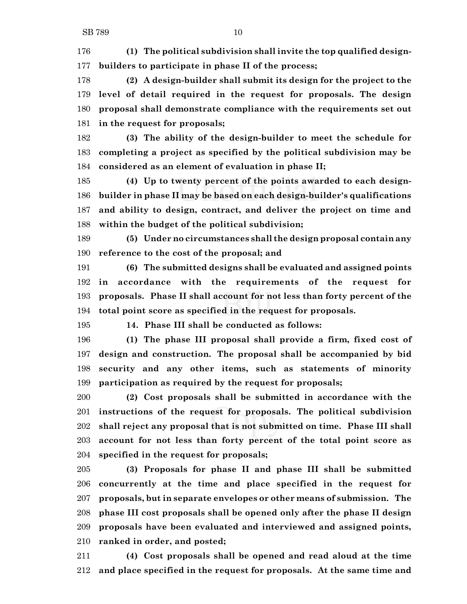**(1) The political subdivision shall invite the top qualified design-builders to participate in phase II of the process;**

 **(2) A design-builder shall submit its design for the project to the level of detail required in the request for proposals. The design proposal shall demonstrate compliance with the requirements set out in the request for proposals;**

 **(3) The ability of the design-builder to meet the schedule for completing a project as specified by the political subdivision may be considered as an element of evaluation in phase II;**

 **(4) Up to twenty percent of the points awarded to each design- builder in phase II may be based on each design-builder's qualifications and ability to design, contract, and deliver the project on time and within the budget of the political subdivision;**

 **(5) Under no circumstances shall the design proposal contain any reference to the cost of the proposal; and**

 **(6) The submitted designs shall be evaluated and assigned points in accordance with the requirements of the request for proposals. Phase II shall account for not less than forty percent of the total point score as specified in the request for proposals.**

**14. Phase III shall be conducted as follows:**

 **(1) The phase III proposal shall provide a firm, fixed cost of design and construction. The proposal shall be accompanied by bid security and any other items, such as statements of minority participation as required by the request for proposals;**

 **(2) Cost proposals shall be submitted in accordance with the instructions of the request for proposals. The political subdivision shall reject any proposal that is not submitted on time. Phase III shall account for not less than forty percent of the total point score as specified in the request for proposals;**

 **(3) Proposals for phase II and phase III shall be submitted concurrently at the time and place specified in the request for proposals, but in separate envelopes or other means of submission. The phase III cost proposals shall be opened only after the phase II design proposals have been evaluated and interviewed and assigned points, ranked in order, and posted;**

 **(4) Cost proposals shall be opened and read aloud at the time and place specified in the request for proposals. At the same time and**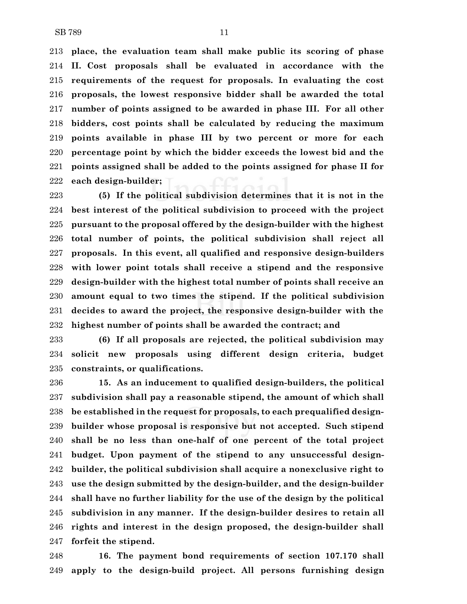**place, the evaluation team shall make public its scoring of phase II. Cost proposals shall be evaluated in accordance with the requirements of the request for proposals. In evaluating the cost proposals, the lowest responsive bidder shall be awarded the total number of points assigned to be awarded in phase III. For all other bidders, cost points shall be calculated by reducing the maximum points available in phase III by two percent or more for each percentage point by which the bidder exceeds the lowest bid and the points assigned shall be added to the points assigned for phase II for each design-builder;**

 **(5) If the political subdivision determines that it is not in the best interest of the political subdivision to proceed with the project pursuant to the proposal offered by the design-builder with the highest total number of points, the political subdivision shall reject all proposals. In this event, all qualified and responsive design-builders with lower point totals shall receive a stipend and the responsive design-builder with the highest total number of points shall receive an amount equal to two times the stipend. If the political subdivision decides to award the project, the responsive design-builder with the highest number of points shall be awarded the contract; and**

 **(6) If all proposals are rejected, the political subdivision may solicit new proposals using different design criteria, budget constraints, or qualifications.**

 **15. As an inducement to qualified design-builders, the political subdivision shall pay a reasonable stipend, the amount of which shall be established in the request for proposals, to each prequalified design- builder whose proposal is responsive but not accepted. Such stipend shall be no less than one-half of one percent of the total project budget. Upon payment of the stipend to any unsuccessful design- builder, the political subdivision shall acquire a nonexclusive right to use the design submitted by the design-builder, and the design-builder shall have no further liability for the use of the design by the political subdivision in any manner. If the design-builder desires to retain all rights and interest in the design proposed, the design-builder shall forfeit the stipend.**

 **16. The payment bond requirements of section 107.170 shall apply to the design-build project. All persons furnishing design**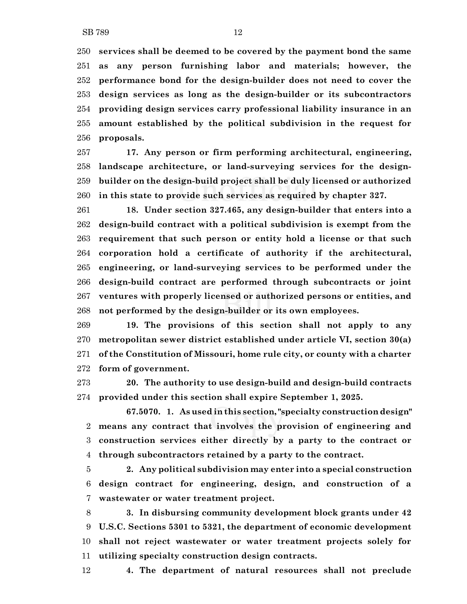**services shall be deemed to be covered by the payment bond the same**

 **as any person furnishing labor and materials; however, the performance bond for the design-builder does not need to cover the design services as long as the design-builder or its subcontractors providing design services carry professional liability insurance in an amount established by the political subdivision in the request for proposals.**

 **17. Any person or firm performing architectural, engineering, landscape architecture, or land-surveying services for the design- builder on the design-build project shall be duly licensed or authorized in this state to provide such services as required by chapter 327.**

 **18. Under section 327.465, any design-builder that enters into a design-build contract with a political subdivision is exempt from the requirement that such person or entity hold a license or that such corporation hold a certificate of authority if the architectural, engineering, or land-surveying services to be performed under the design-build contract are performed through subcontracts or joint ventures with properly licensed or authorized persons or entities, and not performed by the design-builder or its own employees.**

 **19. The provisions of this section shall not apply to any metropolitan sewer district established under article VI, section 30(a) of the Constitution of Missouri, home rule city, or county with a charter form of government.**

 **20. The authority to use design-build and design-build contracts provided under this section shall expire September 1, 2025.**

**67.5070. 1. As used in this section, "specialty construction design" means any contract that involves the provision of engineering and construction services either directly by a party to the contract or through subcontractors retained by a party to the contract.**

 **2. Any political subdivision may enter into a special construction design contract for engineering, design, and construction of a wastewater or water treatment project.**

 **3. In disbursing community development block grants under 42 U.S.C. Sections 5301 to 5321, the department of economic development shall not reject wastewater or water treatment projects solely for utilizing specialty construction design contracts.**

**4. The department of natural resources shall not preclude**